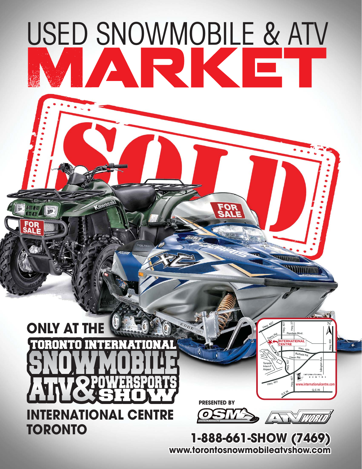# USED SNOWMOBILE & ATV R

#### $\mathbf{C}$ **ONLY AT THE** 'ORONTO INTERNATIO NAI. SP d: NR **INTERNATIONAL CENTRE TORONTO**

**PRESENTED BY RESENTED** 

0

**FOR<br>SALE** 



**TERNATIONAL** 

**LUTTING** 

WWW.LITTLE

*Toronto's #1 Showplace*

**www.internationalcentre.com**

 $\lambda$ 

**1-888-661-SHOW (7469) -888-661-SHOW www.torontosnowmobileatvshow.com ww.torontosnowmobileatvshow.com**